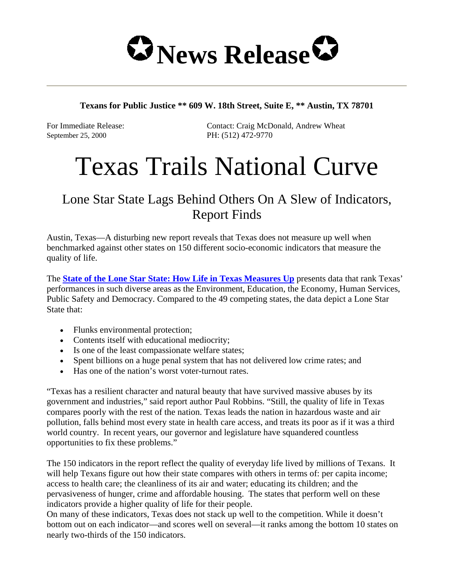

## **Texans for Public Justice \*\* 609 W. 18th Street, Suite E, \*\* Austin, TX 78701**

September 25, 2000 PH: (512) 472-9770

For Immediate Release: Contact: Craig McDonald, Andrew Wheat

## Texas Trails National Curve

## Lone Star State Lags Behind Others On A Slew of Indicators, Report Finds

Austin, Texas—A disturbing new report reveals that Texas does not measure up well when benchmarked against other states on 150 different socio-economic indicators that measure the quality of life.

The **State of the Lone Star State: How Life in Texas Measures Up** presents data that rank Texas' performances in such diverse areas as the Environment, Education, the Economy, Human Services, Public Safety and Democracy. Compared to the 49 competing states, the data depict a Lone Star State that:

- Flunks environmental protection;
- Contents itself with educational mediocrity;
- Is one of the least compassionate welfare states;
- Spent billions on a huge penal system that has not delivered low crime rates; and
- Has one of the nation's worst voter-turnout rates.

"Texas has a resilient character and natural beauty that have survived massive abuses by its government and industries," said report author Paul Robbins. "Still, the quality of life in Texas compares poorly with the rest of the nation. Texas leads the nation in hazardous waste and air pollution, falls behind most every state in health care access, and treats its poor as if it was a third world country. In recent years, our governor and legislature have squandered countless opportunities to fix these problems."

The 150 indicators in the report reflect the quality of everyday life lived by millions of Texans. It will help Texans figure out how their state compares with others in terms of: per capita income; access to health care; the cleanliness of its air and water; educating its children; and the pervasiveness of hunger, crime and affordable housing. The states that perform well on these indicators provide a higher quality of life for their people.

On many of these indicators, Texas does not stack up well to the competition. While it doesn't bottom out on each indicator—and scores well on several—it ranks among the bottom 10 states on nearly two-thirds of the 150 indicators.